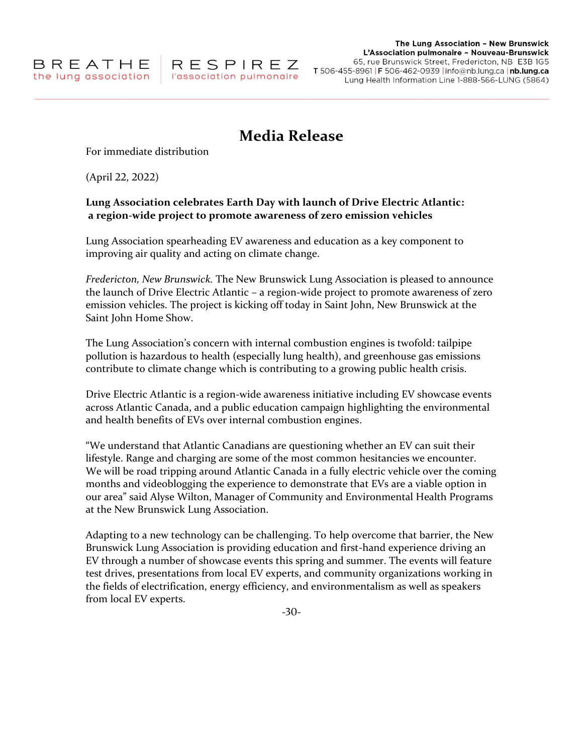# **Media Release**

For immediate distribution

(April 22, 2022)

# **Lung Association celebrates Earth Day with launch of Drive Electric Atlantic: a region-wide project to promote awareness of zero emission vehicles**

Lung Association spearheading EV awareness and education as a key component to improving air quality and acting on climate change.

*Fredericton, New Brunswick.* The New Brunswick Lung Association is pleased to announce the launch of Drive Electric Atlantic – a region-wide project to promote awareness of zero emission vehicles. The project is kicking off today in Saint John, New Brunswick at the Saint John Home Show.

The Lung Association's concern with internal combustion engines is twofold: tailpipe pollution is hazardous to health (especially lung health), and greenhouse gas emissions contribute to climate change which is contributing to a growing public health crisis.

Drive Electric Atlantic is a region-wide awareness initiative including EV showcase events across Atlantic Canada, and a public education campaign highlighting the environmental and health benefits of EVs over internal combustion engines.

"We understand that Atlantic Canadians are questioning whether an EV can suit their lifestyle. Range and charging are some of the most common hesitancies we encounter. We will be road tripping around Atlantic Canada in a fully electric vehicle over the coming months and videoblogging the experience to demonstrate that EVs are a viable option in our area" said Alyse Wilton, Manager of Community and Environmental Health Programs at the New Brunswick Lung Association.

Adapting to a new technology can be challenging. To help overcome that barrier, the New Brunswick Lung Association is providing education and first-hand experience driving an EV through a number of showcase events this spring and summer. The events will feature test drives, presentations from local EV experts, and community organizations working in the fields of electrification, energy efficiency, and environmentalism as well as speakers from local EV experts.